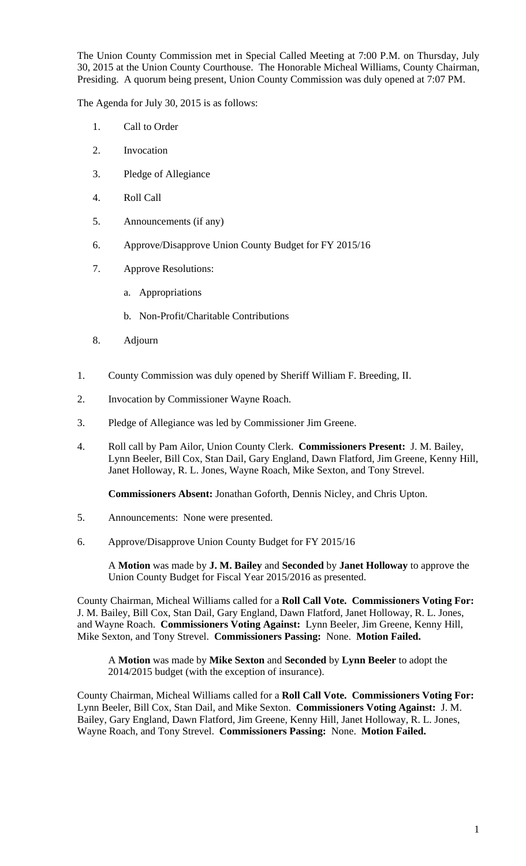The Union County Commission met in Special Called Meeting at 7:00 P.M. on Thursday, July 30, 2015 at the Union County Courthouse. The Honorable Micheal Williams, County Chairman, Presiding. A quorum being present, Union County Commission was duly opened at 7:07 PM.

The Agenda for July 30, 2015 is as follows:

- 1. Call to Order
- 2. Invocation
- 3. Pledge of Allegiance
- 4. Roll Call
- 5. Announcements (if any)
- 6. Approve/Disapprove Union County Budget for FY 2015/16
- 7. Approve Resolutions:
	- a. Appropriations
	- b. Non-Profit/Charitable Contributions
- 8. Adjourn
- 1. County Commission was duly opened by Sheriff William F. Breeding, II.
- 2. Invocation by Commissioner Wayne Roach.
- 3. Pledge of Allegiance was led by Commissioner Jim Greene.
- 4. Roll call by Pam Ailor, Union County Clerk. **Commissioners Present:** J. M. Bailey, Lynn Beeler, Bill Cox, Stan Dail, Gary England, Dawn Flatford, Jim Greene, Kenny Hill, Janet Holloway, R. L. Jones, Wayne Roach, Mike Sexton, and Tony Strevel.

**Commissioners Absent:** Jonathan Goforth, Dennis Nicley, and Chris Upton.

- 5. Announcements: None were presented.
- 6. Approve/Disapprove Union County Budget for FY 2015/16

A **Motion** was made by **J. M. Bailey** and **Seconded** by **Janet Holloway** to approve the Union County Budget for Fiscal Year 2015/2016 as presented.

County Chairman, Micheal Williams called for a **Roll Call Vote. Commissioners Voting For:**  J. M. Bailey, Bill Cox, Stan Dail, Gary England, Dawn Flatford, Janet Holloway, R. L. Jones, and Wayne Roach. **Commissioners Voting Against:** Lynn Beeler, Jim Greene, Kenny Hill, Mike Sexton, and Tony Strevel. **Commissioners Passing:** None. **Motion Failed.** 

A **Motion** was made by **Mike Sexton** and **Seconded** by **Lynn Beeler** to adopt the 2014/2015 budget (with the exception of insurance).

County Chairman, Micheal Williams called for a **Roll Call Vote. Commissioners Voting For:**  Lynn Beeler, Bill Cox, Stan Dail, and Mike Sexton. **Commissioners Voting Against:** J. M. Bailey, Gary England, Dawn Flatford, Jim Greene, Kenny Hill, Janet Holloway, R. L. Jones, Wayne Roach, and Tony Strevel. **Commissioners Passing:** None. **Motion Failed.**